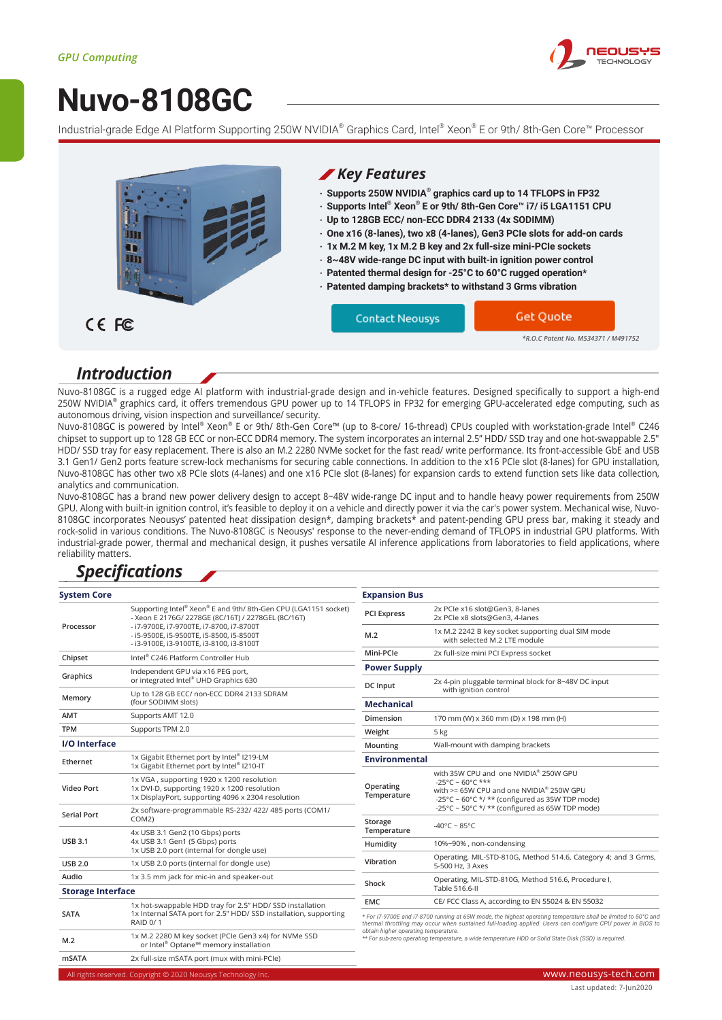

# **[Nuvo-8108GC](https://www.neousys-tech.com/en/product/application/edge-ai-gpu-computing/nuvo-8108gc-intel-9th-gen-nvidia-rtx-2080-250w-gpu-computing-platform?utm_source=datasheet&utm_medium=web&utm_campaign=Nuvo-8108GC)**

Industrial-grade Edge AI Platform Supporting 250W NVIDIA® Graphics Card, Intel® Xeon® E or 9th/ 8th-Gen Core™ Processor



### *Introduction*

Nuvo-8108GC is a rugged edge AI platform with industrial-grade design and in-vehicle features. Designed specifically to support a high-end 250W NVIDIA® graphics card, it offers tremendous GPU power up to 14 TFLOPS in FP32 for emerging GPU-accelerated edge computing, such as autonomous driving, vision inspection and surveillance/ security.

Nuvo-8108GC is powered by Intel® Xeon® E or 9th/ 8th-Gen Core™ (up to 8-core/ 16-thread) CPUs coupled with workstation-grade Intel® C246 chipset to support up to 128 GB ECC or non-ECC DDR4 memory. The system incorporates an internal 2.5" HDD/ SSD tray and one hot-swappable 2.5" HDD/ SSD tray for easy replacement. There is also an M.2 2280 NVMe socket for the fast read/ write performance. Its front-accessible GbE and USB 3.1 Gen1/ Gen2 ports feature screw-lock mechanisms for securing cable connections. In addition to the x16 PCIe slot (8-lanes) for GPU installation, Nuvo-8108GC has other two x8 PCIe slots (4-lanes) and one x16 PCIe slot (8-lanes) for expansion cards to extend function sets like data collection, analytics and communication.

Nuvo-8108GC has a brand new power delivery design to accept 8~48V wide-range DC input and to handle heavy power requirements from 250W GPU. Along with built-in ignition control, it's feasible to deploy it on a vehicle and directly power it via the car's power system. Mechanical wise, Nuvo-8108GC incorporates Neousys' patented heat dissipation design\*, damping brackets\* and patent-pending GPU press bar, making it steady and rock-solid in various conditions. The Nuvo-8108GC is Neousys' response to the never-ending demand of TFLOPS in industrial GPU platforms. With industrial-grade power, thermal and mechanical design, it pushes versatile AI inference applications from laboratories to field applications, where reliability matters.

### *Specifications*

| <b>System Core</b>       |                                                                                                                                                                                                                                                          | <b>Expansion Bus</b>                                                                                                                                                                                                                                                                                                                                                         |                                                                                                                                                                    |
|--------------------------|----------------------------------------------------------------------------------------------------------------------------------------------------------------------------------------------------------------------------------------------------------|------------------------------------------------------------------------------------------------------------------------------------------------------------------------------------------------------------------------------------------------------------------------------------------------------------------------------------------------------------------------------|--------------------------------------------------------------------------------------------------------------------------------------------------------------------|
| Processor                | Supporting Intel® Xeon® E and 9th/8th-Gen CPU (LGA1151 socket)<br>- Xeon E 2176G/ 2278GE (8C/16T) / 2278GEL (8C/16T)<br>- i7-9700E, i7-9700TE, i7-8700, i7-8700T<br>- i5-9500E, i5-9500TE, i5-8500, i5-8500T<br>- i3-9100E, i3-9100TE, i3-8100, i3-8100T | <b>PCI Express</b>                                                                                                                                                                                                                                                                                                                                                           | 2x PCIe x16 slot@Gen3, 8-lanes<br>2x PCle x8 slots@Gen3, 4-lanes                                                                                                   |
|                          |                                                                                                                                                                                                                                                          | M.2                                                                                                                                                                                                                                                                                                                                                                          | 1x M.2 2242 B key socket supporting dual SIM mode<br>with selected M.2 LTE module                                                                                  |
| Chipset                  | Intel® C246 Platform Controller Hub                                                                                                                                                                                                                      | Mini-PCIe                                                                                                                                                                                                                                                                                                                                                                    | 2x full-size mini PCI Express socket                                                                                                                               |
| Graphics                 | Independent GPU via x16 PEG port,<br>or integrated Intel® UHD Graphics 630                                                                                                                                                                               | <b>Power Supply</b><br>2x 4-pin pluggable terminal block for 8~48V DC input                                                                                                                                                                                                                                                                                                  |                                                                                                                                                                    |
| Memory                   | Up to 128 GB ECC/ non-ECC DDR4 2133 SDRAM<br>(four SODIMM slots)                                                                                                                                                                                         | <b>DC</b> Input<br><b>Mechanical</b>                                                                                                                                                                                                                                                                                                                                         | with ignition control                                                                                                                                              |
| <b>AMT</b>               | Supports AMT 12.0                                                                                                                                                                                                                                        | Dimension                                                                                                                                                                                                                                                                                                                                                                    | 170 mm (W) x 360 mm (D) x 198 mm (H)                                                                                                                               |
| <b>TPM</b>               | Supports TPM 2.0                                                                                                                                                                                                                                         | Weight                                                                                                                                                                                                                                                                                                                                                                       | 5 kg                                                                                                                                                               |
| I/O Interface            |                                                                                                                                                                                                                                                          | Mounting                                                                                                                                                                                                                                                                                                                                                                     | Wall-mount with damping brackets                                                                                                                                   |
| Ethernet                 | 1x Gigabit Ethernet port by Intel® I219-LM<br>1x Gigabit Ethernet port by Intel® I210-IT                                                                                                                                                                 | <b>Environmental</b>                                                                                                                                                                                                                                                                                                                                                         |                                                                                                                                                                    |
| Video Port               | 1x VGA, supporting 1920 x 1200 resolution<br>1x DVI-D, supporting 1920 x 1200 resolution<br>1x DisplayPort, supporting 4096 x 2304 resolution                                                                                                            | Operating<br>Temperature                                                                                                                                                                                                                                                                                                                                                     | with 35W CPU and one NVIDIA® 250W GPU<br>$-25^{\circ}$ C ~ 60°C ***<br>with >= 65W CPU and one NVIDIA® 250W GPU<br>-25°C ~ 60°C */ ** (configured as 35W TDP mode) |
| <b>Serial Port</b>       | 2x software-programmable RS-232/ 422/ 485 ports (COM1/                                                                                                                                                                                                   |                                                                                                                                                                                                                                                                                                                                                                              | -25°C ~ 50°C */ ** (configured as 65W TDP mode)                                                                                                                    |
|                          | COM2)                                                                                                                                                                                                                                                    | Storage                                                                                                                                                                                                                                                                                                                                                                      | -40°C ~ 85°C                                                                                                                                                       |
| <b>USB 3.1</b>           | 4x USB 3.1 Gen2 (10 Gbps) ports<br>4x USB 3.1 Gen1 (5 Gbps) ports<br>1x USB 2.0 port (internal for dongle use)                                                                                                                                           | Temperature<br>Humidity                                                                                                                                                                                                                                                                                                                                                      | 10%~90%, non-condensing                                                                                                                                            |
| <b>USB 2.0</b>           | 1x USB 2.0 ports (internal for dongle use)                                                                                                                                                                                                               | Vibration                                                                                                                                                                                                                                                                                                                                                                    | Operating, MIL-STD-810G, Method 514.6, Category 4; and 3 Grms,<br>5-500 Hz, 3 Axes                                                                                 |
| Audio                    | 1x 3.5 mm jack for mic-in and speaker-out                                                                                                                                                                                                                | Operating, MIL-STD-810G, Method 516.6, Procedure I,                                                                                                                                                                                                                                                                                                                          |                                                                                                                                                                    |
| <b>Storage Interface</b> |                                                                                                                                                                                                                                                          | Shock                                                                                                                                                                                                                                                                                                                                                                        | Table 516.6-II                                                                                                                                                     |
|                          | 1x hot-swappable HDD tray for 2.5" HDD/ SSD installation                                                                                                                                                                                                 | <b>EMC</b>                                                                                                                                                                                                                                                                                                                                                                   | CE/ FCC Class A, according to EN 55024 & EN 55032                                                                                                                  |
| <b>SATA</b>              | 1x Internal SATA port for 2.5" HDD/ SSD installation, supporting<br><b>RAID 0/1</b>                                                                                                                                                                      | * For i7-9700E and i7-8700 running at 65W mode, the highest operating temperature shall be limited to 50°C and<br>thermal throttling may occur when sustained full-loading applied. Users can configure CPU power in BIOS to<br>obtain higher operating temperature.<br>** For sub-zero operating temperature, a wide temperature HDD or Solid State Disk (SSD) is required. |                                                                                                                                                                    |
| M.2                      | 1x M.2 2280 M key socket (PCIe Gen3 x4) for NVMe SSD<br>or Intel <sup>®</sup> Optane™ memory installation                                                                                                                                                |                                                                                                                                                                                                                                                                                                                                                                              |                                                                                                                                                                    |
| <b>mSATA</b>             | 2x full-size mSATA port (mux with mini-PCIe)                                                                                                                                                                                                             |                                                                                                                                                                                                                                                                                                                                                                              |                                                                                                                                                                    |
|                          |                                                                                                                                                                                                                                                          |                                                                                                                                                                                                                                                                                                                                                                              |                                                                                                                                                                    |

All rights reserved. Copyright © 2020 Neousys Technology Inc. www.neousys-tech.com www.neousys-tech.com